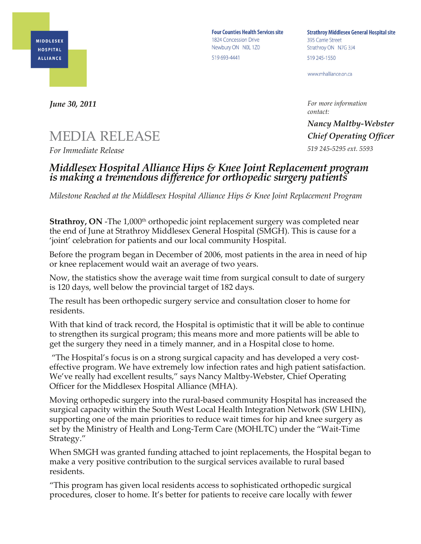

**Four Counties Health Services site** 1824 Concession Drive Newbury ON NOL 1Z0 519 693-4441

**Strathroy Middlesex General Hospital site** 395 Carrie Street Strathroy ON N7G 3J4 519 245-1550

www.mhalliance.on.ca

*For more information contact:*

*Nancy Maltby-Webster Chief Operating Officer 519 245-5295 ext. 5593*

## *June 30, 2011*

## MEDIA RELEASE

*For Immediate Release*

## *Middlesex Hospital Alliance Hips & Knee Joint Replacement program is making a tremendous difference for orthopedic surgery patients*

*Milestone Reached at the Middlesex Hospital Alliance Hips & Knee Joint Replacement Program*

**Strathroy, ON** -The 1,000<sup>th</sup> orthopedic joint replacement surgery was completed near the end of June at Strathroy Middlesex General Hospital (SMGH). This is cause for a 'joint' celebration for patients and our local community Hospital.

Before the program began in December of 2006, most patients in the area in need of hip or knee replacement would wait an average of two years.

Now, the statistics show the average wait time from surgical consult to date of surgery is 120 days, well below the provincial target of 182 days.

The result has been orthopedic surgery service and consultation closer to home for residents.

With that kind of track record, the Hospital is optimistic that it will be able to continue to strengthen its surgical program; this means more and more patients will be able to get the surgery they need in a timely manner, and in a Hospital close to home.

"The Hospital's focus is on a strong surgical capacity and has developed a very costeffective program. We have extremely low infection rates and high patient satisfaction. We've really had excellent results," says Nancy Maltby-Webster, Chief Operating Officer for the Middlesex Hospital Alliance (MHA).

Moving orthopedic surgery into the rural-based community Hospital has increased the surgical capacity within the South West Local Health Integration Network (SW LHIN), supporting one of the main priorities to reduce wait times for hip and knee surgery as set by the Ministry of Health and Long-Term Care (MOHLTC) under the "Wait-Time Strategy."

When SMGH was granted funding attached to joint replacements, the Hospital began to make a very positive contribution to the surgical services available to rural based residents.

"This program has given local residents access to sophisticated orthopedic surgical procedures, closer to home. It's better for patients to receive care locally with fewer